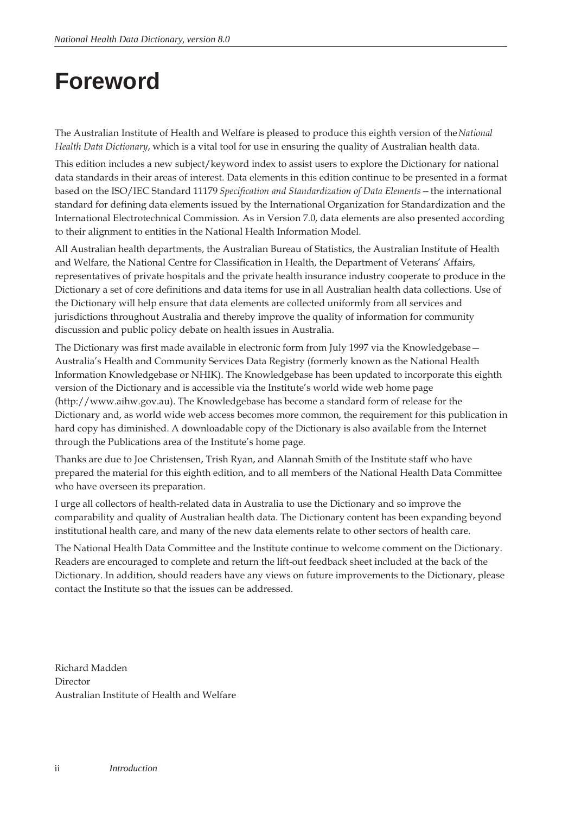# <span id="page-0-0"></span>**Foreword**

The Australian Institute of Health and Welfare is pleased to produce this eighth version of the *National Health Data Dictionary*, which is a vital tool for use in ensuring the quality of Australian health data.

This edition includes a new subject/keyword index to assist users to explore the Dictionary for national data standards in their areas of interest. Data elements in this edition continue to be presented in a format based on the ISO/IEC Standard 11179 *Specification and Standardization of Data Elements—*the international standard for defining data elements issued by the International Organization for Standardization and the International Electrotechnical Commission. As in Version 7.0, data elements are also presented according to their alignment to entities in the National Health Information Model.

All Australian health departments, the Australian Bureau of Statistics, the Australian Institute of Health and Welfare, the National Centre for Classification in Health, the Department of Veterans' Affairs, representatives of private hospitals and the private health insurance industry cooperate to produce in the Dictionary a set of core definitions and data items for use in all Australian health data collections. Use of the Dictionary will help ensure that data elements are collected uniformly from all services and jurisdictions throughout Australia and thereby improve the quality of information for community discussion and public policy debate on health issues in Australia.

The Dictionary was first made available in electronic form from July 1997 via the Knowledgebase-Australia's Health and Community Services Data Registry (formerly known as the National Health Information Knowledgebase or NHIK). The Knowledgebase has been updated to incorporate this eighth version of the Dictionary and is accessible via the Institute's world wide web home page (http://www.aihw.gov.au). The Knowledgebase has become a standard form of release for the Dictionary and, as world wide web access becomes more common, the requirement for this publication in hard copy has diminished. A downloadable copy of the Dictionary is also available from the Internet through the Publications area of the Institute's home page.

Thanks are due to Joe Christensen, Trish Ryan, and Alannah Smith of the Institute staff who have prepared the material for this eighth edition, and to all members of the National Health Data Committee who have overseen its preparation.

I urge all collectors of health-related data in Australia to use the Dictionary and so improve the comparability and quality of Australian health data. The Dictionary content has been expanding beyond institutional health care, and many of the new data elements relate to other sectors of health care.

The National Health Data Committee and the Institute continue to welcome comment on the Dictionary. Readers are encouraged to complete and return the lift-out feedback sheet included at the back of the Dictionary. In addition, should readers have any views on future improvements to the Dictionary, please contact the Institute so that the issues can be addressed.

Richard Madden Director Australian Institute of Health and Welfare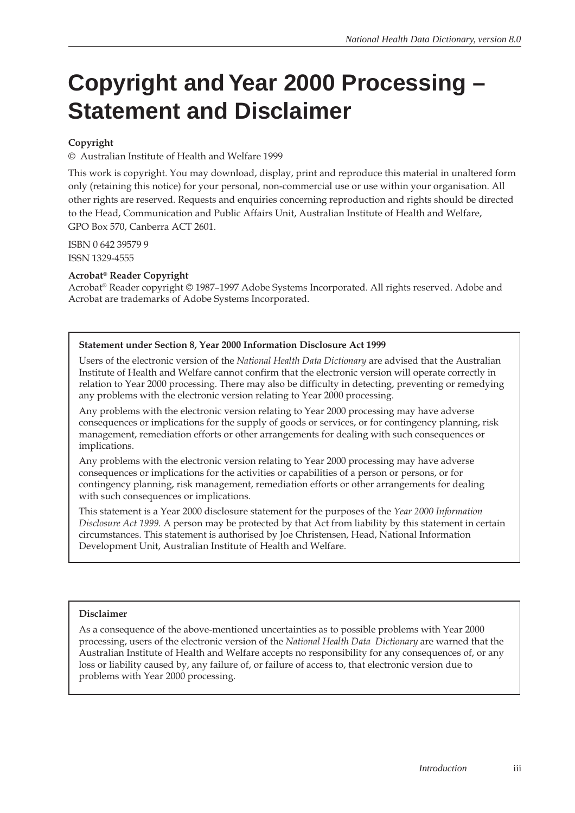# <span id="page-1-0"></span>**Copyright and Year 2000 Processing – Statement and Disclaimer**

#### **Copyright**

© Australian Institute of Health and Welfare 1999

This work is copyright. You may download, display, print and reproduce this material in unaltered form only (retaining this notice) for your personal, non-commercial use or use within your organisation. All other rights are reserved. Requests and enquiries concerning reproduction and rights should be directed to the Head, Communication and Public Affairs Unit, Australian Institute of Health and Welfare, GPO Box 570, Canberra ACT 2601.

ISBN 0 642 39579 9 ISSN 1329-4555

#### **Acrobat® Reader Copyright**

Acrobat® Reader copyright © 1987–1997 Adobe Systems Incorporated. All rights reserved. Adobe and Acrobat are trademarks of Adobe Systems Incorporated.

#### **Statement under Section 8, Year 2000 Information Disclosure Act 1999**

Users of the electronic version of the *National Health Data Dictionary* are advised that the Australian Institute of Health and Welfare cannot confirm that the electronic version will operate correctly in relation to Year 2000 processing. There may also be difficulty in detecting, preventing or remedying any problems with the electronic version relating to Year 2000 processing.

Any problems with the electronic version relating to Year 2000 processing may have adverse consequences or implications for the supply of goods or services, or for contingency planning, risk management, remediation efforts or other arrangements for dealing with such consequences or implications.

Any problems with the electronic version relating to Year 2000 processing may have adverse consequences or implications for the activities or capabilities of a person or persons, or for contingency planning, risk management, remediation efforts or other arrangements for dealing with such consequences or implications.

This statement is a Year 2000 disclosure statement for the purposes of the *Year 2000 Information Disclosure Act 1999.* A person may be protected by that Act from liability by this statement in certain circumstances. This statement is authorised by Joe Christensen, Head, National Information Development Unit, Australian Institute of Health and Welfare.

#### **Disclaimer**

As a consequence of the above-mentioned uncertainties as to possible problems with Year 2000 processing, users of the electronic version of the *National Health Data Dictionary* are warned that the Australian Institute of Health and Welfare accepts no responsibility for any consequences of, or any loss or liability caused by, any failure of, or failure of access to, that electronic version due to problems with Year 2000 processing.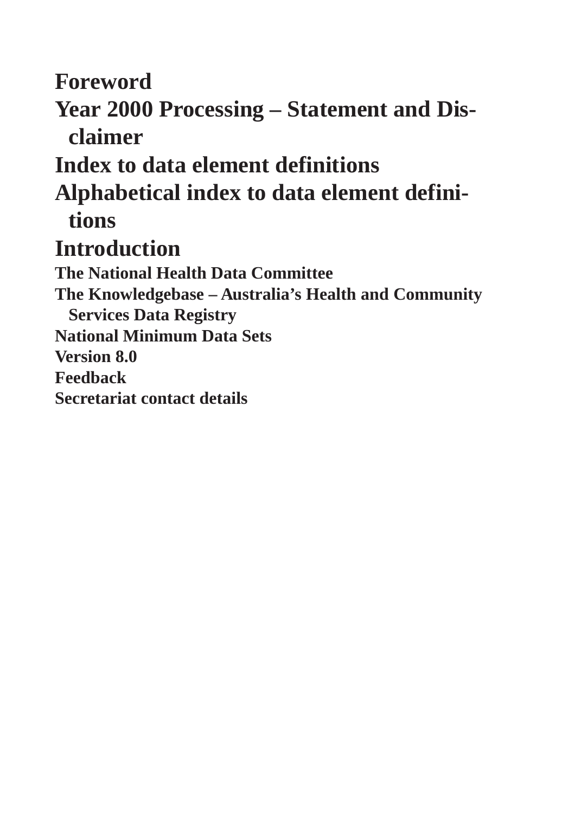**[Foreword](#page-0-0)**

**[Year 2000 Processing – Statement and Dis](#page-1-0)[claimer](#page-1-0)**

**[Index to data element definitions](#page-3-0)**

**[Alphabetical index to data element defini](#page-9-0)[tions](#page-9-0)** 

# **[Introduction](#page-15-0)**

**[The National Health Data Committee](#page-16-0)**

**[The Knowledgebase – Australia's Health and Community](#page-16-0) [Services Data Registry](#page-16-0) [National Minimum Data Sets](#page-16-0) [Version 8.0](#page-18-0)  [Feedback](#page-18-0) [Secretariat contact details](#page-19-0)**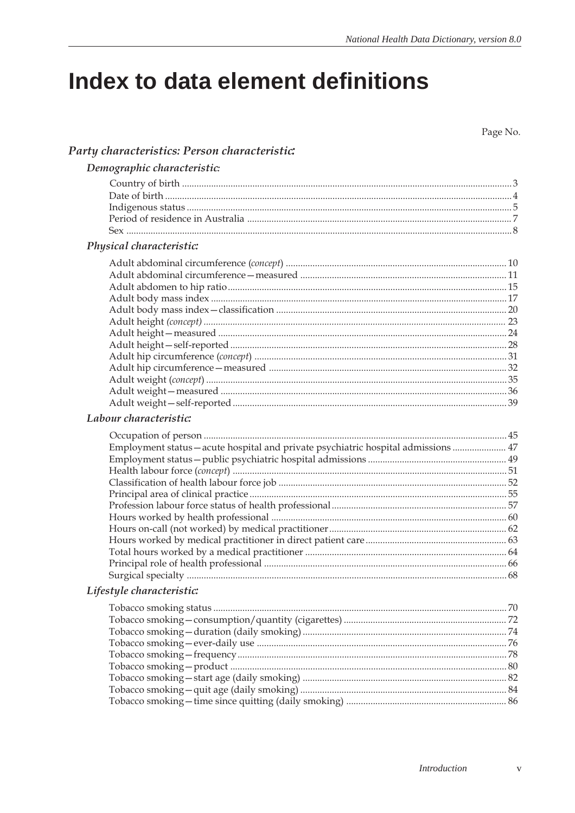# <span id="page-3-0"></span>Index to data element definitions

Page No.

|  | Party characteristics: Person characteristic: |  |  |
|--|-----------------------------------------------|--|--|
|--|-----------------------------------------------|--|--|

| Demographic characteristic: |  |  |  |  |
|-----------------------------|--|--|--|--|
|-----------------------------|--|--|--|--|

| Physical characteristic: |  |
|--------------------------|--|
|                          |  |
|                          |  |
|                          |  |
|                          |  |
|                          |  |
|                          |  |
|                          |  |
|                          |  |
|                          |  |
|                          |  |
|                          |  |
|                          |  |
|                          |  |
|                          |  |

## Labour characteristic:

| Employment status – acute hospital and private psychiatric hospital admissions  47 |  |
|------------------------------------------------------------------------------------|--|
|                                                                                    |  |
|                                                                                    |  |
|                                                                                    |  |
|                                                                                    |  |
|                                                                                    |  |
|                                                                                    |  |
|                                                                                    |  |
|                                                                                    |  |
|                                                                                    |  |
|                                                                                    |  |
|                                                                                    |  |
| Lifestyle characteristic:                                                          |  |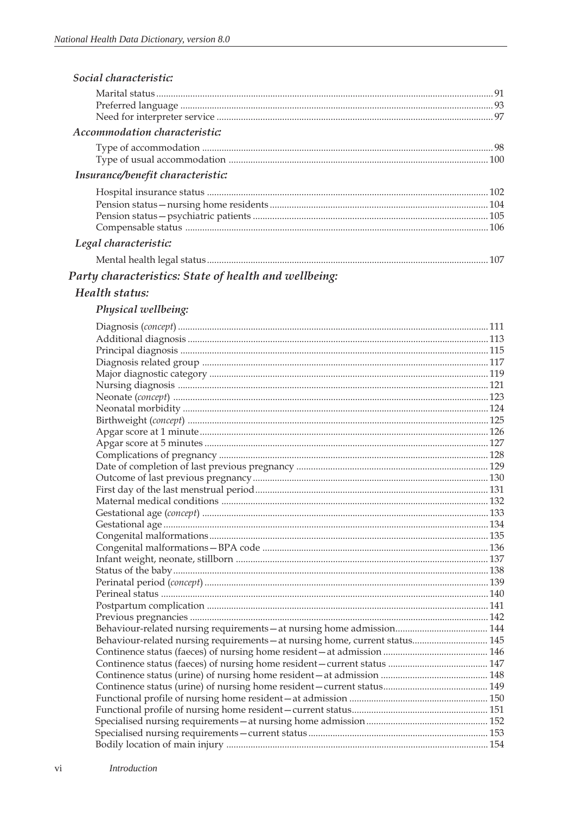| Social characteristic:            |  |
|-----------------------------------|--|
|                                   |  |
|                                   |  |
|                                   |  |
| Accommodation characteristic:     |  |
|                                   |  |
|                                   |  |
| Insurance/benefit characteristic: |  |
|                                   |  |
|                                   |  |
|                                   |  |
|                                   |  |
| Legal characteristic:             |  |
|                                   |  |
|                                   |  |

# Party characteristics: State of health and wellbeing:

# Health status:

### Physical wellbeing:

| Behaviour-related nursing requirements - at nursing home, current status 145 |  |
|------------------------------------------------------------------------------|--|
|                                                                              |  |
|                                                                              |  |
|                                                                              |  |
|                                                                              |  |
|                                                                              |  |
|                                                                              |  |
|                                                                              |  |
|                                                                              |  |
|                                                                              |  |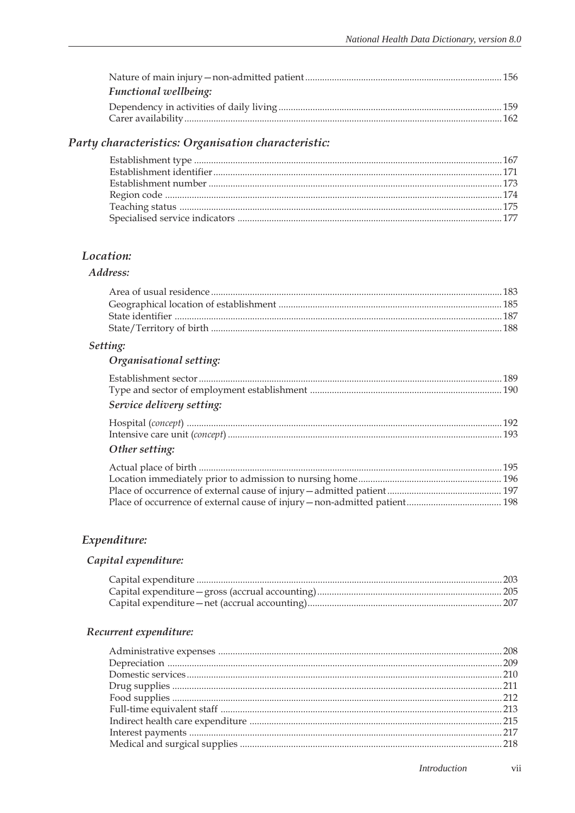| <b>Functional wellbeing:</b> |  |
|------------------------------|--|
|                              |  |
|                              |  |
|                              |  |

# Party characteristics: Organisation characteristic:

#### Location:

### Address:

### Setting:

# Organisational setting:

| Service delivery setting: |  |
|---------------------------|--|

| Other setting: |  |
|----------------|--|

# Expenditure:

## Capital expenditure:

## Recurrent expenditure: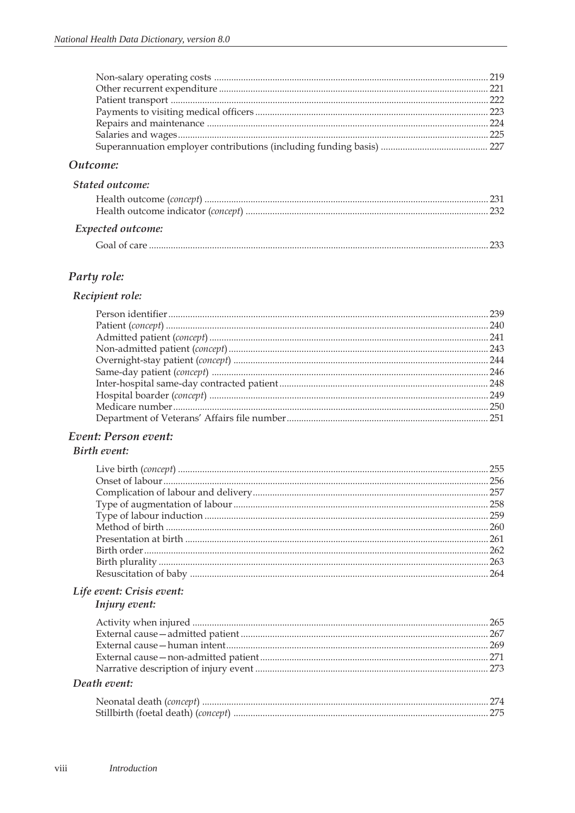### Outcome:

# **Stated outcome:**

| Expected outcome: |  |
|-------------------|--|
|                   |  |

## Party role:

### Recipient role:

# Event: Person event:

## **Birth event:**

# Life event: Crisis event:

#### Injury event:

#### Death event: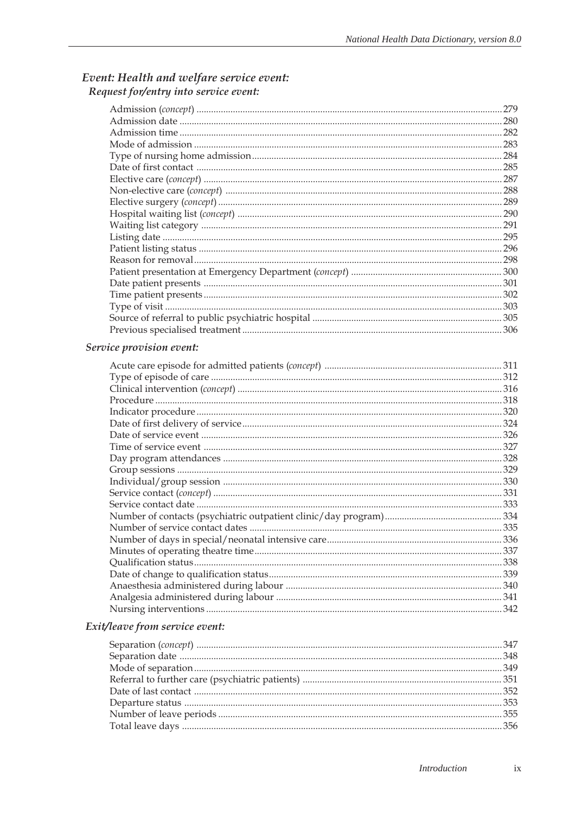# Event: Health and welfare service event:<br>Request for/entry into service event:

|  | 279   |
|--|-------|
|  |       |
|  | . 282 |
|  | .283  |
|  |       |
|  |       |
|  |       |
|  |       |
|  |       |
|  | . 290 |
|  | .291  |
|  |       |
|  |       |
|  |       |
|  |       |
|  |       |
|  |       |
|  |       |
|  |       |
|  |       |
|  |       |

### Service provision event:

| .312 |
|------|
|      |
|      |
| .320 |
| 324  |
| .326 |
|      |
| .328 |
|      |
|      |
| .331 |
|      |
|      |
| 335  |
| 336  |
|      |
| .338 |
|      |
|      |
|      |
|      |
|      |

### Exit/leave from service event: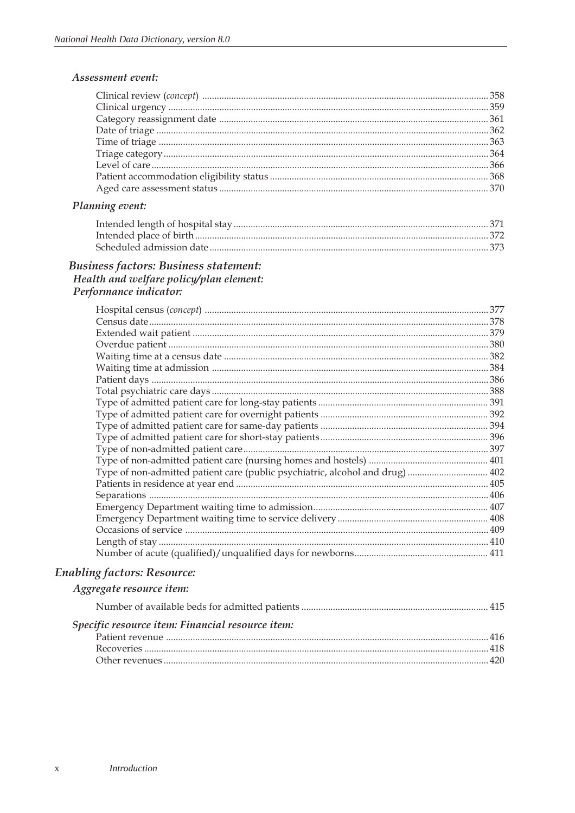#### Planning event:

#### **Business factors: Business statement:** Health and welfare policy/plan element: Performance indicator:

|                                                                               | 377 |
|-------------------------------------------------------------------------------|-----|
|                                                                               |     |
|                                                                               |     |
|                                                                               |     |
|                                                                               | 382 |
|                                                                               | 384 |
|                                                                               |     |
|                                                                               |     |
|                                                                               |     |
|                                                                               |     |
|                                                                               |     |
|                                                                               |     |
|                                                                               |     |
|                                                                               |     |
| Type of non-admitted patient care (public psychiatric, alcohol and drug)  402 |     |
|                                                                               |     |
|                                                                               |     |
|                                                                               |     |
|                                                                               |     |
|                                                                               |     |
|                                                                               |     |
|                                                                               |     |

## **Enabling factors: Resource:**

#### Aggregate resource item:

| Specific resource item: Financial resource item: |  |
|--------------------------------------------------|--|
|                                                  |  |
|                                                  |  |
|                                                  |  |
|                                                  |  |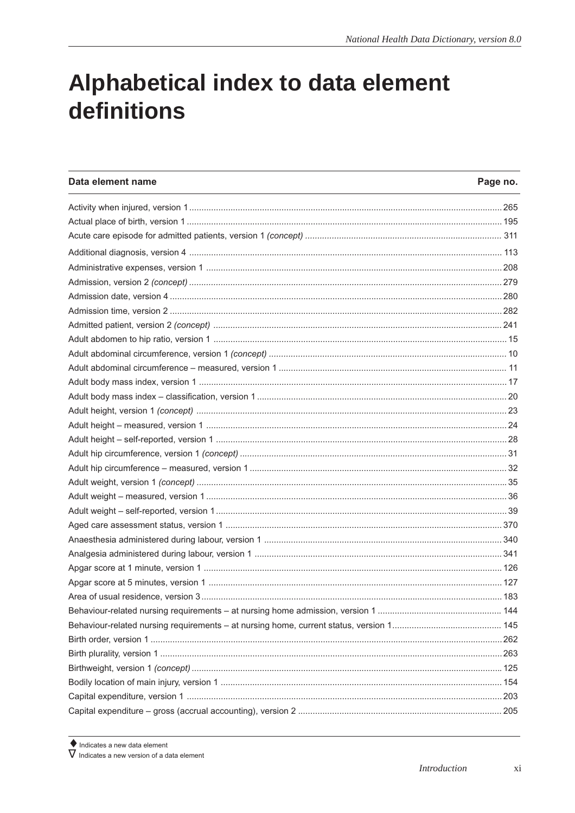# <span id="page-9-0"></span>Alphabetical index to data element definitions

| Data element name | Page no. |
|-------------------|----------|
|                   |          |
|                   |          |
|                   |          |
|                   |          |
|                   |          |
|                   |          |
|                   |          |
|                   |          |
|                   |          |
|                   |          |
|                   |          |
|                   |          |
|                   |          |
|                   |          |
|                   |          |
|                   |          |
|                   |          |
|                   |          |
|                   |          |
|                   |          |
|                   |          |
|                   |          |
|                   |          |
|                   |          |
|                   |          |
|                   |          |
|                   |          |
|                   |          |
|                   |          |
|                   |          |
|                   |          |
|                   |          |
|                   |          |
|                   |          |
|                   |          |
|                   |          |

 $\blacklozenge$  Indicates a new data element<br>  $\nabla$  Indicates a new version of a data element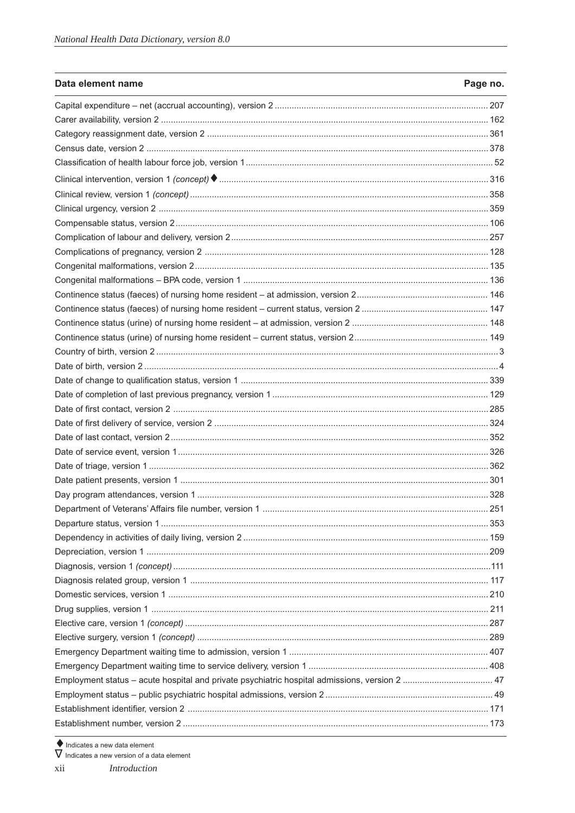| Data element name                                                                             | Page no. |
|-----------------------------------------------------------------------------------------------|----------|
|                                                                                               |          |
|                                                                                               |          |
|                                                                                               |          |
|                                                                                               |          |
|                                                                                               |          |
|                                                                                               |          |
|                                                                                               |          |
|                                                                                               |          |
|                                                                                               |          |
|                                                                                               |          |
|                                                                                               |          |
|                                                                                               |          |
|                                                                                               |          |
|                                                                                               |          |
|                                                                                               |          |
|                                                                                               |          |
|                                                                                               |          |
|                                                                                               |          |
|                                                                                               |          |
|                                                                                               |          |
|                                                                                               |          |
|                                                                                               |          |
|                                                                                               |          |
|                                                                                               |          |
|                                                                                               |          |
|                                                                                               |          |
|                                                                                               |          |
|                                                                                               |          |
|                                                                                               |          |
|                                                                                               |          |
|                                                                                               |          |
|                                                                                               |          |
|                                                                                               |          |
|                                                                                               |          |
|                                                                                               |          |
|                                                                                               |          |
|                                                                                               |          |
|                                                                                               |          |
|                                                                                               |          |
|                                                                                               |          |
| Employment status - acute hospital and private psychiatric hospital admissions, version 2  47 |          |
|                                                                                               |          |
|                                                                                               |          |
|                                                                                               |          |

 $\blacklozenge$  Indicates a new data element<br>  $\nabla$  Indicates a new version of a data element

Introduction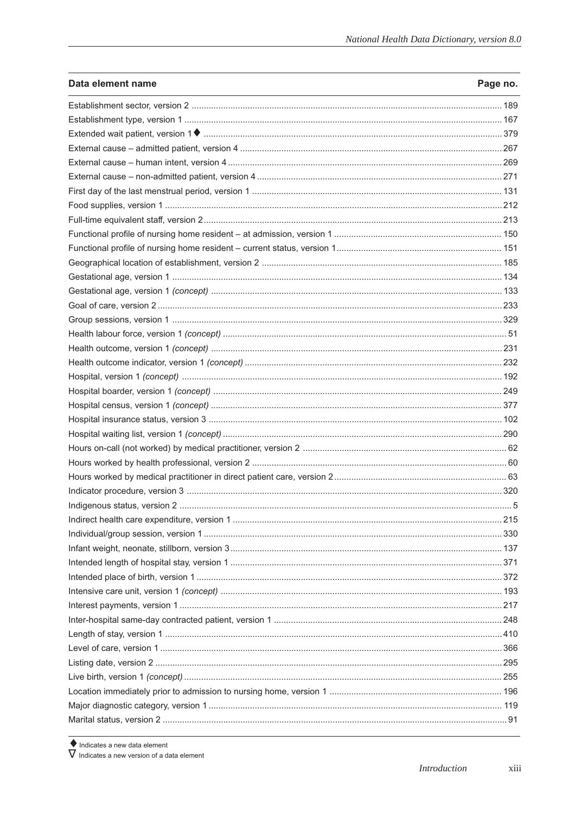| Data element name | Page no. |
|-------------------|----------|
|                   |          |
|                   |          |
|                   |          |
|                   |          |
|                   |          |
|                   |          |
|                   |          |
|                   |          |
|                   |          |
|                   |          |
|                   |          |
|                   |          |
|                   |          |
|                   |          |
|                   |          |
|                   |          |
|                   |          |
|                   |          |
|                   |          |
|                   |          |
|                   |          |
|                   |          |
|                   |          |
|                   |          |
|                   |          |
|                   |          |
|                   |          |
|                   |          |
|                   |          |
|                   |          |
|                   |          |
|                   |          |
|                   |          |
|                   |          |
|                   |          |
|                   |          |
|                   |          |
|                   |          |
|                   |          |
|                   |          |
|                   |          |
|                   |          |
|                   |          |
|                   |          |
|                   |          |

 $\blacklozenge$  Indicates a new data element<br>  $\nabla$  Indicates a new version of a data element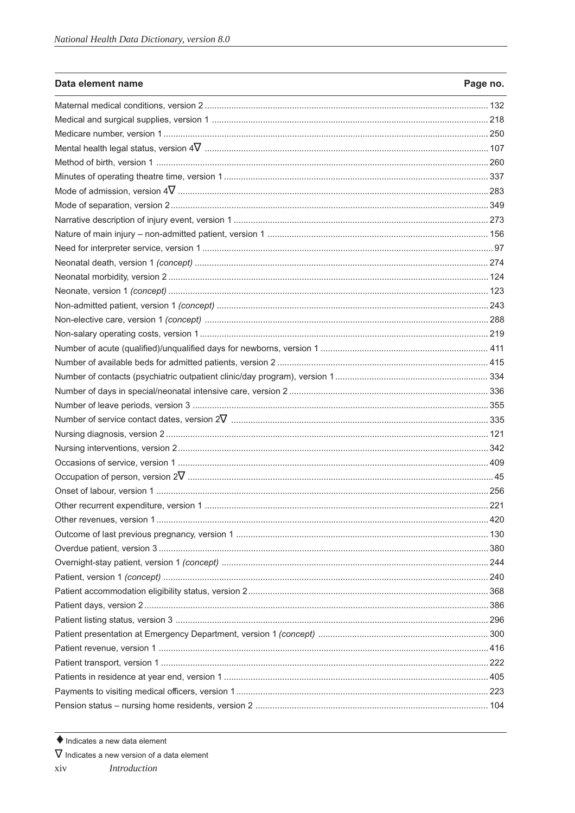| Data element name                      | Page no. |
|----------------------------------------|----------|
|                                        |          |
|                                        |          |
|                                        |          |
|                                        |          |
|                                        |          |
|                                        |          |
|                                        |          |
|                                        |          |
|                                        |          |
|                                        |          |
|                                        |          |
|                                        |          |
|                                        |          |
|                                        |          |
|                                        |          |
|                                        |          |
|                                        |          |
|                                        |          |
|                                        |          |
|                                        |          |
|                                        |          |
|                                        |          |
|                                        |          |
|                                        |          |
|                                        |          |
|                                        |          |
|                                        |          |
|                                        |          |
| Other recurrent expenditure, version 1 | 221      |
|                                        |          |
|                                        |          |
|                                        |          |
|                                        |          |
|                                        |          |
|                                        |          |
|                                        |          |
|                                        |          |
|                                        |          |
|                                        |          |
|                                        |          |
|                                        |          |
|                                        |          |
|                                        |          |
|                                        |          |

 $\blacklozenge$  Indicates a new data element

#### $\nabla$  Indicates a new version of a data element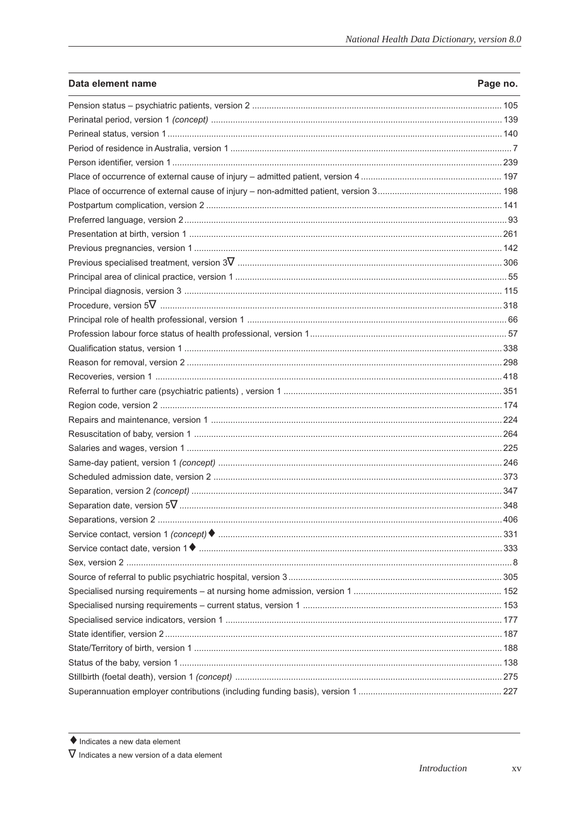| Data element name | Page no. |
|-------------------|----------|
|                   |          |
|                   |          |
|                   |          |
|                   |          |
|                   |          |
|                   |          |
|                   |          |
|                   |          |
|                   |          |
|                   |          |
|                   |          |
|                   |          |
|                   |          |
|                   |          |
|                   |          |
|                   |          |
|                   |          |
|                   |          |
|                   |          |
|                   |          |
|                   |          |
|                   |          |
|                   |          |
|                   |          |
|                   |          |
|                   |          |
|                   |          |
|                   |          |
|                   |          |
|                   |          |
|                   |          |
|                   |          |
|                   |          |
|                   |          |
|                   |          |
|                   |          |
|                   |          |
|                   |          |
|                   |          |
|                   |          |
|                   |          |
|                   |          |

 $\blacklozenge$  Indicates a new data element

 $\nabla$  Indicates a new version of a data element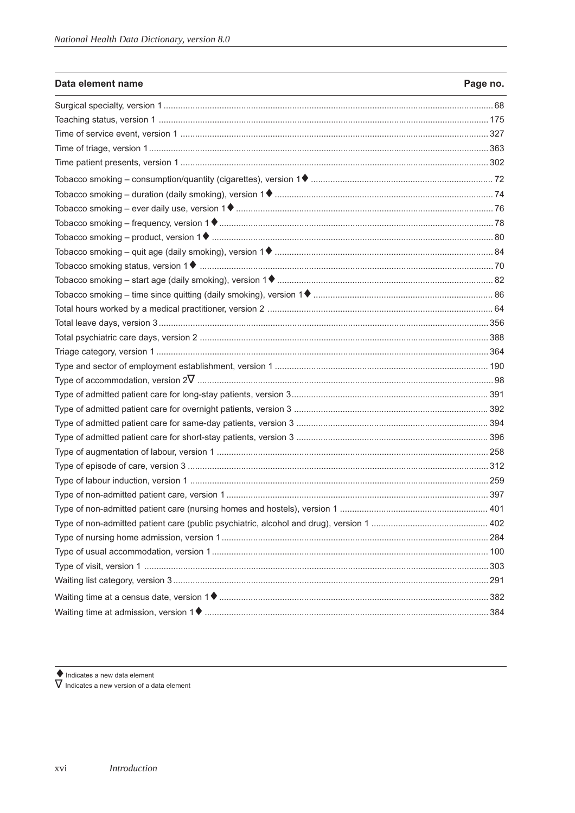| Data element name | Page no. |
|-------------------|----------|
|                   |          |
|                   |          |
|                   |          |
|                   |          |
|                   |          |
|                   |          |
|                   |          |
|                   |          |
|                   |          |
|                   |          |
|                   |          |
|                   |          |
|                   |          |
|                   |          |
|                   |          |
|                   |          |
|                   |          |
|                   |          |
|                   |          |
|                   |          |
|                   |          |
|                   |          |
|                   |          |
|                   |          |
|                   |          |
|                   |          |
|                   |          |
|                   |          |
|                   |          |
|                   |          |
|                   |          |
|                   |          |
|                   |          |
|                   |          |
|                   |          |
|                   |          |

 $\blacklozenge$  Indicates a new data element

 $\overline{V}$  Indicates a new version of a data element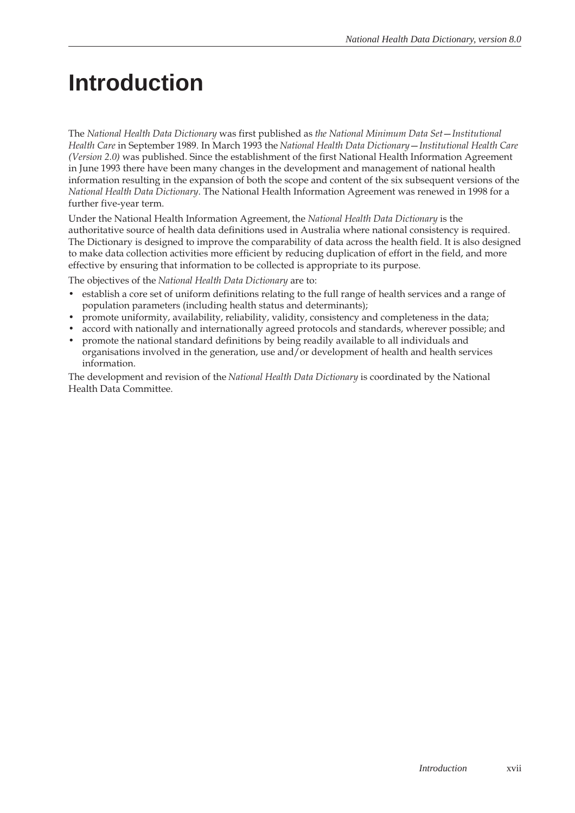# <span id="page-15-0"></span>**Introduction**

The *National Health Data Dictionary* was first published as *the National Minimum Data Set*—*Institutional Health Care* in September 1989. In March 1993 the *National Health Data Dictionary*—*Institutional Health Care (Version 2.0)* was published. Since the establishment of the first National Health Information Agreement in June 1993 there have been many changes in the development and management of national health information resulting in the expansion of both the scope and content of the six subsequent versions of the *National Health Data Dictionary*. The National Health Information Agreement was renewed in 1998 for a further five-year term.

Under the National Health Information Agreement, the *National Health Data Dictionary* is the authoritative source of health data definitions used in Australia where national consistency is required. The Dictionary is designed to improve the comparability of data across the health field. It is also designed to make data collection activities more efficient by reducing duplication of effort in the field, and more effective by ensuring that information to be collected is appropriate to its purpose.

The objectives of the *National Health Data Dictionary* are to:

- establish a core set of uniform definitions relating to the full range of health services and a range of population parameters (including health status and determinants);
- promote uniformity, availability, reliability, validity, consistency and completeness in the data;
- accord with nationally and internationally agreed protocols and standards, wherever possible; and
- promote the national standard definitions by being readily available to all individuals and organisations involved in the generation, use and/or development of health and health services information.

The development and revision of the *National Health Data Dictionary* is coordinated by the National Health Data Committee.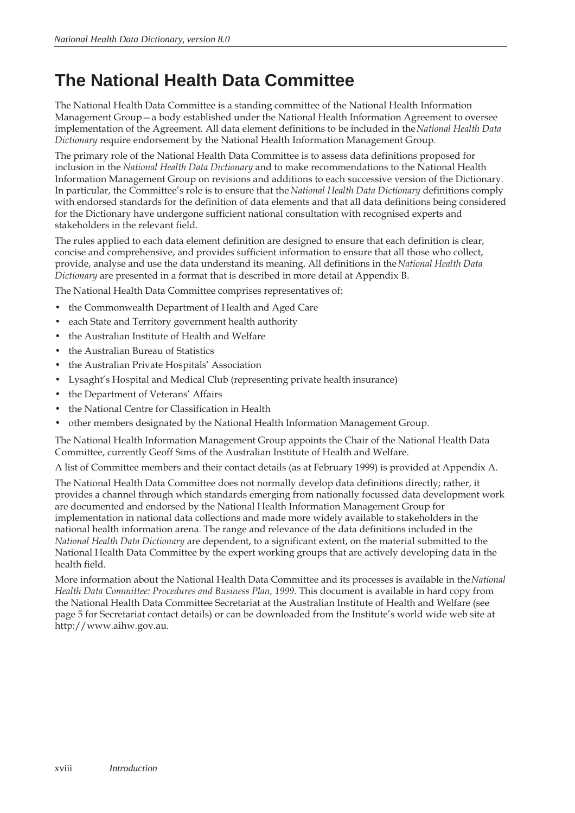# <span id="page-16-0"></span>**The National Health Data Committee**

The National Health Data Committee is a standing committee of the National Health Information Management Group—a body established under the National Health Information Agreement to oversee implementation of the Agreement. All data element definitions to be included in the *National Health Data Dictionary* require endorsement by the National Health Information Management Group.

The primary role of the National Health Data Committee is to assess data definitions proposed for inclusion in the *National Health Data Dictionary* and to make recommendations to the National Health Information Management Group on revisions and additions to each successive version of the Dictionary. In particular, the Committee's role is to ensure that the *National Health Data Dictionary* definitions comply with endorsed standards for the definition of data elements and that all data definitions being considered for the Dictionary have undergone sufficient national consultation with recognised experts and stakeholders in the relevant field.

The rules applied to each data element definition are designed to ensure that each definition is clear, concise and comprehensive, and provides sufficient information to ensure that all those who collect, provide, analyse and use the data understand its meaning. All definitions in the *National Health Data Dictionary* are presented in a format that is described in more detail at Appendix B.

The National Health Data Committee comprises representatives of:

- the Commonwealth Department of Health and Aged Care
- each State and Territory government health authority
- the Australian Institute of Health and Welfare
- the Australian Bureau of Statistics
- the Australian Private Hospitals' Association
- Lysaght's Hospital and Medical Club (representing private health insurance)
- the Department of Veterans' Affairs
- the National Centre for Classification in Health
- other members designated by the National Health Information Management Group.

The National Health Information Management Group appoints the Chair of the National Health Data Committee, currently Geoff Sims of the Australian Institute of Health and Welfare.

A list of Committee members and their contact details (as at February 1999) is provided at Appendix A.

The National Health Data Committee does not normally develop data definitions directly; rather, it provides a channel through which standards emerging from nationally focussed data development work are documented and endorsed by the National Health Information Management Group for implementation in national data collections and made more widely available to stakeholders in the national health information arena. The range and relevance of the data definitions included in the *National Health Data Dictionary* are dependent, to a significant extent, on the material submitted to the National Health Data Committee by the expert working groups that are actively developing data in the health field.

More information about the National Health Data Committee and its processes is available in the *National Health Data Committee: Procedures and Business Plan, 1999.* This document is available in hard copy from the National Health Data Committee Secretariat at the Australian Institute of Health and Welfare (see page 5 for Secretariat contact details) or can be downloaded from the Institute's world wide web site at http://www.aihw.gov.au.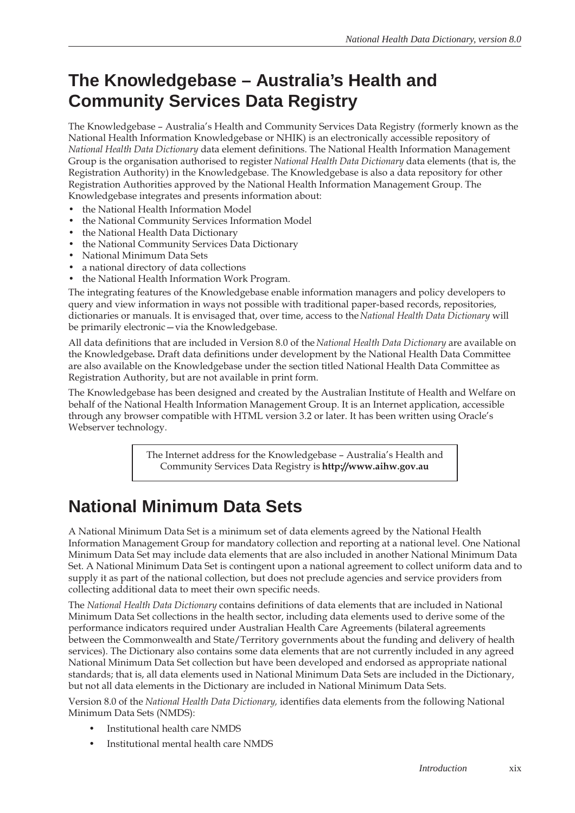# **The Knowledgebase – Australia's Health and Community Services Data Registry**

The Knowledgebase – Australia's Health and Community Services Data Registry (formerly known as the National Health Information Knowledgebase or NHIK) is an electronically accessible repository of *National Health Data Dictionary* data element definitions. The National Health Information Management Group is the organisation authorised to register *National Health Data Dictionary* data elements (that is, the Registration Authority) in the Knowledgebase. The Knowledgebase is also a data repository for other Registration Authorities approved by the National Health Information Management Group. The Knowledgebase integrates and presents information about:

- the National Health Information Model
- the National Community Services Information Model
- the National Health Data Dictionary
- the National Community Services Data Dictionary
- National Minimum Data Sets
- a national directory of data collections
- the National Health Information Work Program.

The integrating features of the Knowledgebase enable information managers and policy developers to query and view information in ways not possible with traditional paper-based records, repositories, dictionaries or manuals. It is envisaged that, over time, access to the *National Health Data Dictionary* will be primarily electronic—via the Knowledgebase.

All data definitions that are included in Version 8.0 of the *National Health Data Dictionary* are available on the Knowledgebase**.** Draft data definitions under development by the National Health Data Committee are also available on the Knowledgebase under the section titled National Health Data Committee as Registration Authority, but are not available in print form.

The Knowledgebase has been designed and created by the Australian Institute of Health and Welfare on behalf of the National Health Information Management Group. It is an Internet application, accessible through any browser compatible with HTML version 3.2 or later. It has been written using Oracle's Webserver technology.

> The Internet address for the Knowledgebase – Australia's Health and Community Services Data Registry is **http://www.aihw.gov.au**

# **National Minimum Data Sets**

A National Minimum Data Set is a minimum set of data elements agreed by the National Health Information Management Group for mandatory collection and reporting at a national level. One National Minimum Data Set may include data elements that are also included in another National Minimum Data Set. A National Minimum Data Set is contingent upon a national agreement to collect uniform data and to supply it as part of the national collection, but does not preclude agencies and service providers from collecting additional data to meet their own specific needs.

The *National Health Data Dictionary* contains definitions of data elements that are included in National Minimum Data Set collections in the health sector, including data elements used to derive some of the performance indicators required under Australian Health Care Agreements (bilateral agreements between the Commonwealth and State/Territory governments about the funding and delivery of health services). The Dictionary also contains some data elements that are not currently included in any agreed National Minimum Data Set collection but have been developed and endorsed as appropriate national standards; that is, all data elements used in National Minimum Data Sets are included in the Dictionary, but not all data elements in the Dictionary are included in National Minimum Data Sets.

Version 8.0 of the *National Health Data Dictionary,* identifies data elements from the following National Minimum Data Sets (NMDS):

- Institutional health care NMDS
- Institutional mental health care NMDS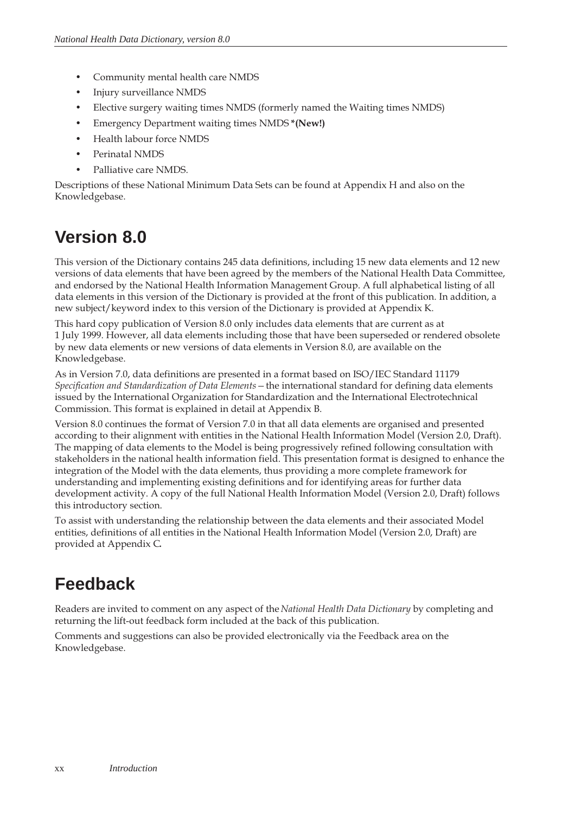- <span id="page-18-0"></span>• Community mental health care NMDS
- Injury surveillance NMDS
- Elective surgery waiting times NMDS (formerly named the Waiting times NMDS)
- Emergency Department waiting times NMDS **\*(New!)**
- Health labour force NMDS
- Perinatal NMDS
- Palliative care NMDS.

Descriptions of these National Minimum Data Sets can be found at Appendix H and also on the Knowledgebase.

# **Version 8.0**

This version of the Dictionary contains 245 data definitions, including 15 new data elements and 12 new versions of data elements that have been agreed by the members of the National Health Data Committee, and endorsed by the National Health Information Management Group. A full alphabetical listing of all data elements in this version of the Dictionary is provided at the front of this publication. In addition, a new subject/keyword index to this version of the Dictionary is provided at Appendix K.

This hard copy publication of Version 8.0 only includes data elements that are current as at 1 July 1999. However, all data elements including those that have been superseded or rendered obsolete by new data elements or new versions of data elements in Version 8.0, are available on the Knowledgebase.

As in Version 7.0, data definitions are presented in a format based on ISO/IEC Standard 11179 *Specification and Standardization of Data Elements—*the international standard for defining data elements issued by the International Organization for Standardization and the International Electrotechnical Commission. This format is explained in detail at Appendix B.

Version 8.0 continues the format of Version 7.0 in that all data elements are organised and presented according to their alignment with entities in the National Health Information Model (Version 2.0, Draft). The mapping of data elements to the Model is being progressively refined following consultation with stakeholders in the national health information field. This presentation format is designed to enhance the integration of the Model with the data elements, thus providing a more complete framework for understanding and implementing existing definitions and for identifying areas for further data development activity. A copy of the full National Health Information Model (Version 2.0, Draft) follows this introductory section.

To assist with understanding the relationship between the data elements and their associated Model entities, definitions of all entities in the National Health Information Model (Version 2.0, Draft) are provided at Appendix C*.*

# **Feedback**

Readers are invited to comment on any aspect of the *National Health Data Dictionary* by completing and returning the lift-out feedback form included at the back of this publication.

Comments and suggestions can also be provided electronically via the Feedback area on the Knowledgebase.